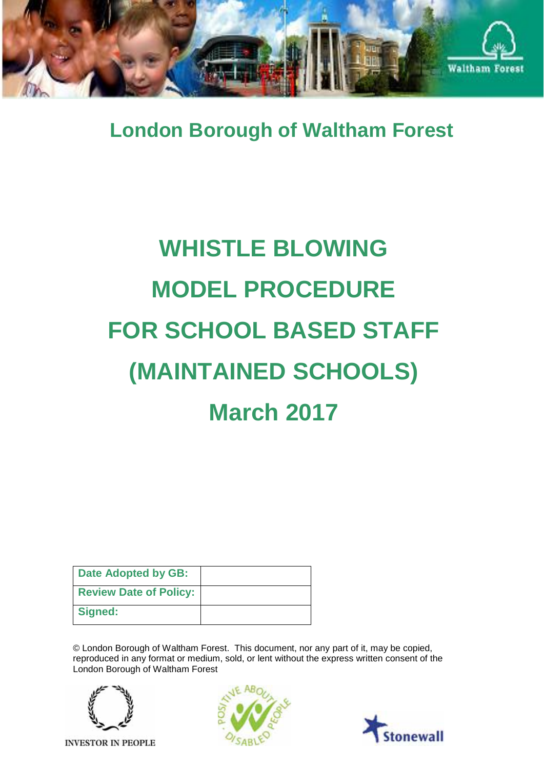

**London Borough of Waltham Forest**

# **WHISTLE BLOWING MODEL PROCEDURE FOR SCHOOL BASED STAFF (MAINTAINED SCHOOLS) March 2017**

| Date Adopted by GB:           |  |
|-------------------------------|--|
| <b>Review Date of Policy:</b> |  |
| Signed:                       |  |

© London Borough of Waltham Forest. This document, nor any part of it, may be copied, reproduced in any format or medium, sold, or lent without the express written consent of the London Borough of Waltham Forest



**INVESTOR IN PEOPLE** 



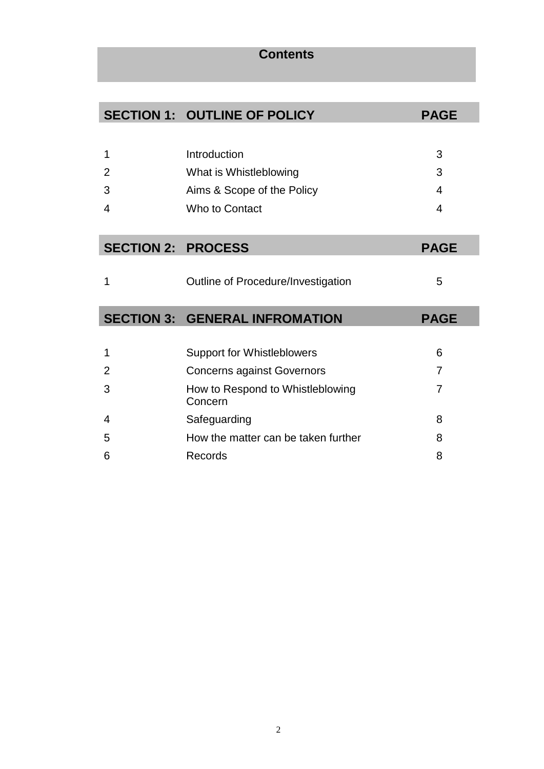## **SECTION 1: OUTLINE OF POLICY PAGE** 1 2 3 4 Introduction What is Whistleblowing Aims & Scope of the Policy Who to Contact 3 3 4 4 **SECTION 2: PROCESS PAGE** 1 **Dutline of Procedure/Investigation** 5 **SECTION 3: GENERAL INFROMATION PAGE** 1 Support for Whistleblowers 6 2 Concerns against Governors 7 3 How to Respond to Whistleblowing Concern 7 4 Safeguarding 8 5 How the matter can be taken further 8

6 Records 8

**Contents**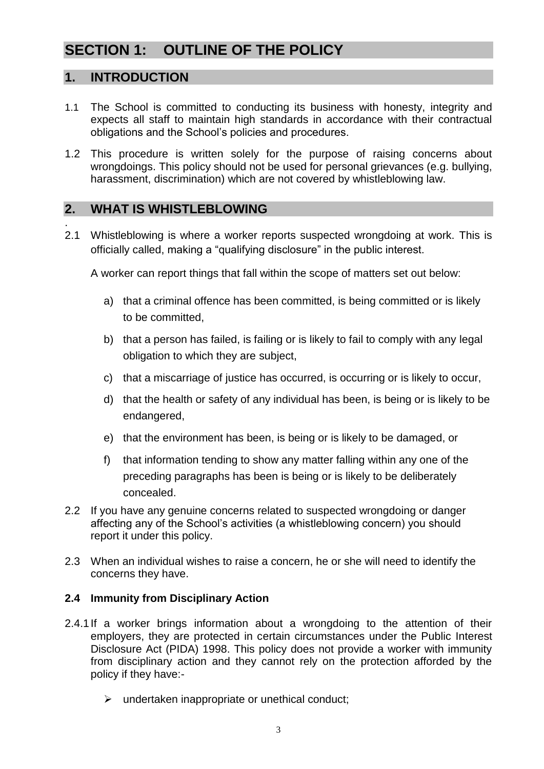## **SECTION 1: OUTLINE OF THE POLICY**

## **1. INTRODUCTION**

- 1.1 The School is committed to conducting its business with honesty, integrity and expects all staff to maintain high standards in accordance with their contractual obligations and the School's policies and procedures.
- 1.2 This procedure is written solely for the purpose of raising concerns about wrongdoings. This policy should not be used for personal grievances (e.g. bullying, harassment, discrimination) which are not covered by whistleblowing law.

## **2. WHAT IS WHISTLEBLOWING**

. 2.1 Whistleblowing is where a worker reports suspected wrongdoing at work. This is officially called, making a "qualifying disclosure" in the public interest.

A worker can report things that fall within the scope of matters set out below:

- a) that a criminal offence has been committed, is being committed or is likely to be committed,
- b) that a person has failed, is failing or is likely to fail to comply with any legal obligation to which they are subject,
- c) that a miscarriage of justice has occurred, is occurring or is likely to occur,
- d) that the health or safety of any individual has been, is being or is likely to be endangered,
- e) that the environment has been, is being or is likely to be damaged, or
- f) that information tending to show any matter falling within any one of the preceding paragraphs has been is being or is likely to be deliberately concealed.
- 2.2 If you have any genuine concerns related to suspected wrongdoing or danger affecting any of the School's activities (a whistleblowing concern) you should report it under this policy.
- 2.3 When an individual wishes to raise a concern, he or she will need to identify the concerns they have.

#### **2.4 Immunity from Disciplinary Action**

- 2.4.1If a worker brings information about a wrongdoing to the attention of their employers, they are protected in certain circumstances under the Public Interest Disclosure Act (PIDA) 1998. This policy does not provide a worker with immunity from disciplinary action and they cannot rely on the protection afforded by the policy if they have:-
	- $\triangleright$  undertaken inappropriate or unethical conduct;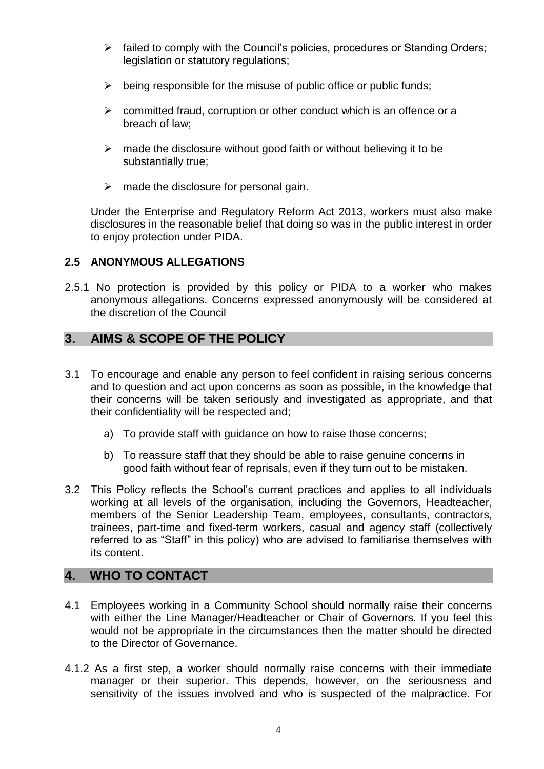- $\triangleright$  failed to comply with the Council's policies, procedures or Standing Orders; legislation or statutory regulations;
- $\triangleright$  being responsible for the misuse of public office or public funds;
- $\triangleright$  committed fraud, corruption or other conduct which is an offence or a breach of law;
- $\triangleright$  made the disclosure without good faith or without believing it to be substantially true;
- $\triangleright$  made the disclosure for personal gain.

Under the Enterprise and Regulatory Reform Act 2013, workers must also make disclosures in the reasonable belief that doing so was in the public interest in order to enjoy protection under PIDA.

#### **2.5 ANONYMOUS ALLEGATIONS**

2.5.1 No protection is provided by this policy or PIDA to a worker who makes anonymous allegations. Concerns expressed anonymously will be considered at the discretion of the Council

## **3. AIMS & SCOPE OF THE POLICY**

- 3.1 To encourage and enable any person to feel confident in raising serious concerns and to question and act upon concerns as soon as possible, in the knowledge that their concerns will be taken seriously and investigated as appropriate, and that their confidentiality will be respected and;
	- a) To provide staff with guidance on how to raise those concerns;
	- b) To reassure staff that they should be able to raise genuine concerns in good faith without fear of reprisals, even if they turn out to be mistaken.
- 3.2 This Policy reflects the School's current practices and applies to all individuals working at all levels of the organisation, including the Governors, Headteacher, members of the Senior Leadership Team, employees, consultants, contractors, trainees, part-time and fixed-term workers, casual and agency staff (collectively referred to as "Staff" in this policy) who are advised to familiarise themselves with its content.

## **4. WHO TO CONTACT**

- 4.1 Employees working in a Community School should normally raise their concerns with either the Line Manager/Headteacher or Chair of Governors. If you feel this would not be appropriate in the circumstances then the matter should be directed to the Director of Governance.
- 4.1.2 As a first step, a worker should normally raise concerns with their immediate manager or their superior. This depends, however, on the seriousness and sensitivity of the issues involved and who is suspected of the malpractice. For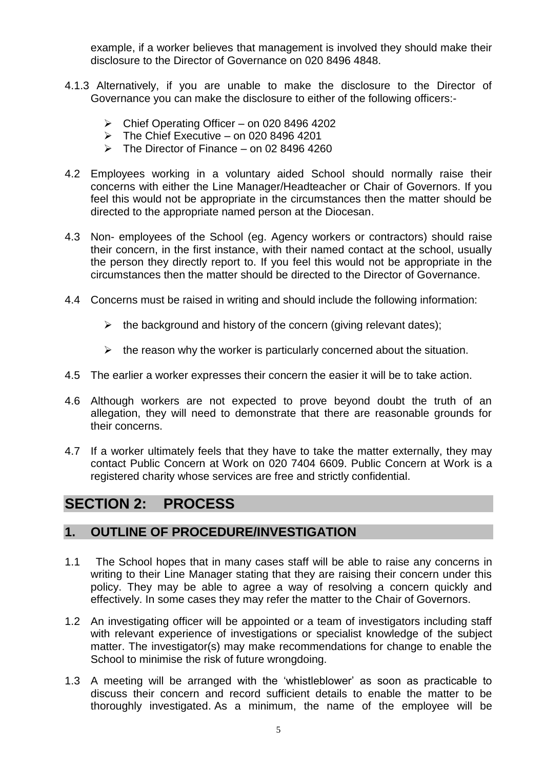example, if a worker believes that management is involved they should make their disclosure to the Director of Governance on 020 8496 4848.

- 4.1.3 Alternatively, if you are unable to make the disclosure to the Director of Governance you can make the disclosure to either of the following officers:-
	- $\triangleright$  Chief Operating Officer on 020 8496 4202
	- $\triangleright$  The Chief Executive on 020 8496 4201
	- $\triangleright$  The Director of Finance on 02 8496 4260
- 4.2 Employees working in a voluntary aided School should normally raise their concerns with either the Line Manager/Headteacher or Chair of Governors. If you feel this would not be appropriate in the circumstances then the matter should be directed to the appropriate named person at the Diocesan.
- 4.3 Non- employees of the School (eg. Agency workers or contractors) should raise their concern, in the first instance, with their named contact at the school, usually the person they directly report to. If you feel this would not be appropriate in the circumstances then the matter should be directed to the Director of Governance.
- 4.4 Concerns must be raised in writing and should include the following information:
	- $\triangleright$  the background and history of the concern (giving relevant dates):
	- $\triangleright$  the reason why the worker is particularly concerned about the situation.
- 4.5 The earlier a worker expresses their concern the easier it will be to take action.
- 4.6 Although workers are not expected to prove beyond doubt the truth of an allegation, they will need to demonstrate that there are reasonable grounds for their concerns.
- 4.7 If a worker ultimately feels that they have to take the matter externally, they may contact Public Concern at Work on 020 7404 6609. Public Concern at Work is a registered charity whose services are free and strictly confidential.

## **SECTION 2: PROCESS**

## **1. OUTLINE OF PROCEDURE/INVESTIGATION**

- 1.1 The School hopes that in many cases staff will be able to raise any concerns in writing to their Line Manager stating that they are raising their concern under this policy. They may be able to agree a way of resolving a concern quickly and effectively. In some cases they may refer the matter to the Chair of Governors.
- 1.2 An investigating officer will be appointed or a team of investigators including staff with relevant experience of investigations or specialist knowledge of the subject matter. The investigator(s) may make recommendations for change to enable the School to minimise the risk of future wrongdoing.
- 1.3 A meeting will be arranged with the 'whistleblower' as soon as practicable to discuss their concern and record sufficient details to enable the matter to be thoroughly investigated. As a minimum, the name of the employee will be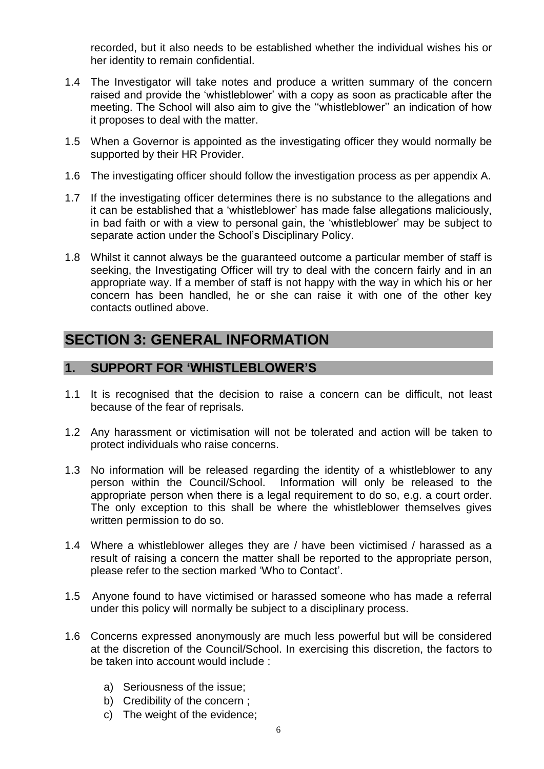recorded, but it also needs to be established whether the individual wishes his or her identity to remain confidential.

- 1.4 The Investigator will take notes and produce a written summary of the concern raised and provide the 'whistleblower' with a copy as soon as practicable after the meeting. The School will also aim to give the ''whistleblower'' an indication of how it proposes to deal with the matter.
- 1.5 When a Governor is appointed as the investigating officer they would normally be supported by their HR Provider.
- 1.6 The investigating officer should follow the investigation process as per appendix A.
- 1.7 If the investigating officer determines there is no substance to the allegations and it can be established that a 'whistleblower' has made false allegations maliciously, in bad faith or with a view to personal gain, the 'whistleblower' may be subject to separate action under the School's Disciplinary Policy.
- 1.8 Whilst it cannot always be the guaranteed outcome a particular member of staff is seeking, the Investigating Officer will try to deal with the concern fairly and in an appropriate way. If a member of staff is not happy with the way in which his or her concern has been handled, he or she can raise it with one of the other key contacts outlined above.

## **SECTION 3: GENERAL INFORMATION**

## **1. SUPPORT FOR 'WHISTLEBLOWER'S**

- 1.1 It is recognised that the decision to raise a concern can be difficult, not least because of the fear of reprisals.
- 1.2 Any harassment or victimisation will not be tolerated and action will be taken to protect individuals who raise concerns.
- 1.3 No information will be released regarding the identity of a whistleblower to any person within the Council/School. Information will only be released to the appropriate person when there is a legal requirement to do so, e.g. a court order. The only exception to this shall be where the whistleblower themselves gives written permission to do so.
- 1.4 Where a whistleblower alleges they are / have been victimised / harassed as a result of raising a concern the matter shall be reported to the appropriate person, please refer to the section marked 'Who to Contact'.
- 1.5 Anyone found to have victimised or harassed someone who has made a referral under this policy will normally be subject to a disciplinary process.
- 1.6 Concerns expressed anonymously are much less powerful but will be considered at the discretion of the Council/School. In exercising this discretion, the factors to be taken into account would include :
	- a) Seriousness of the issue;
	- b) Credibility of the concern ;
	- c) The weight of the evidence;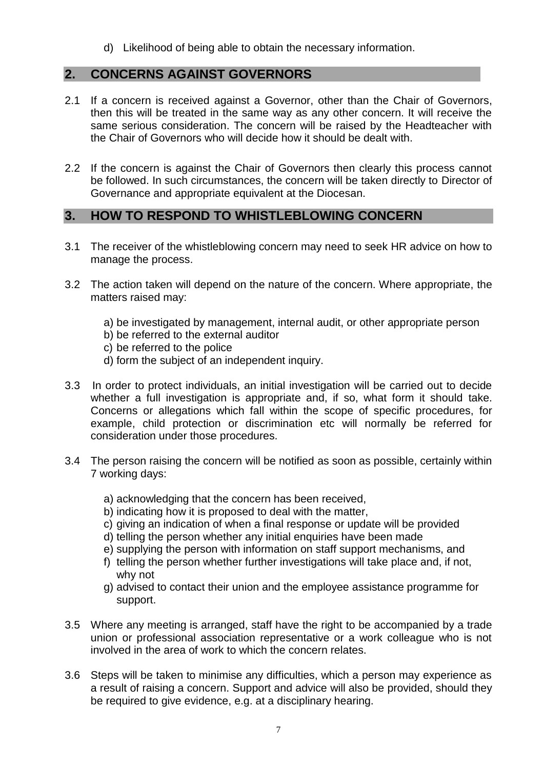d) Likelihood of being able to obtain the necessary information.

## **2. CONCERNS AGAINST GOVERNORS**

- 2.1 If a concern is received against a Governor, other than the Chair of Governors, then this will be treated in the same way as any other concern. It will receive the same serious consideration. The concern will be raised by the Headteacher with the Chair of Governors who will decide how it should be dealt with.
- 2.2 If the concern is against the Chair of Governors then clearly this process cannot be followed. In such circumstances, the concern will be taken directly to Director of Governance and appropriate equivalent at the Diocesan.

## **3. HOW TO RESPOND TO WHISTLEBLOWING CONCERN**

- 3.1 The receiver of the whistleblowing concern may need to seek HR advice on how to manage the process.
- 3.2 The action taken will depend on the nature of the concern. Where appropriate, the matters raised may:
	- a) be investigated by management, internal audit, or other appropriate person
	- b) be referred to the external auditor
	- c) be referred to the police
	- d) form the subject of an independent inquiry.
- 3.3 In order to protect individuals, an initial investigation will be carried out to decide whether a full investigation is appropriate and, if so, what form it should take. Concerns or allegations which fall within the scope of specific procedures, for example, child protection or discrimination etc will normally be referred for consideration under those procedures.
- 3.4 The person raising the concern will be notified as soon as possible, certainly within 7 working days:
	- a) acknowledging that the concern has been received,
	- b) indicating how it is proposed to deal with the matter,
	- c) giving an indication of when a final response or update will be provided
	- d) telling the person whether any initial enquiries have been made
	- e) supplying the person with information on staff support mechanisms, and
	- f) telling the person whether further investigations will take place and, if not, why not
	- g) advised to contact their union and the employee assistance programme for support.
- 3.5 Where any meeting is arranged, staff have the right to be accompanied by a trade union or professional association representative or a work colleague who is not involved in the area of work to which the concern relates.
- 3.6 Steps will be taken to minimise any difficulties, which a person may experience as a result of raising a concern. Support and advice will also be provided, should they be required to give evidence, e.g. at a disciplinary hearing.